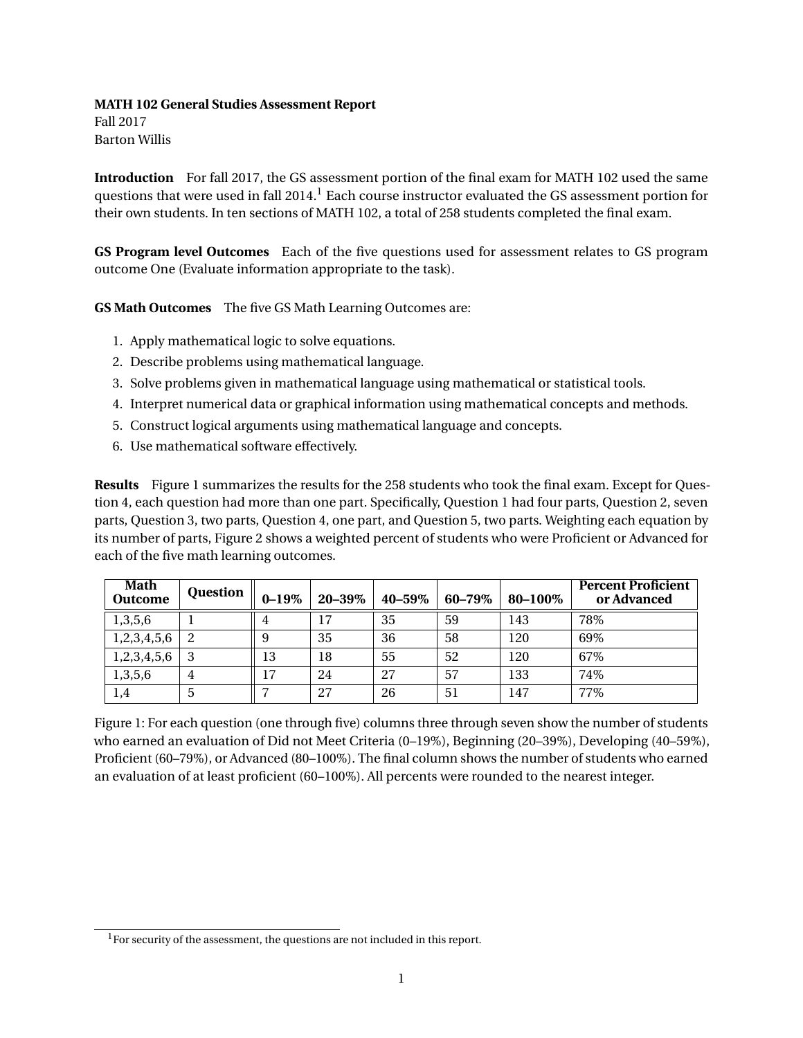## **MATH 102 General Studies Assessment Report**

Fall 2017 Barton Willis

**Introduction** For fall 2017, the GS assessment portion of the final exam for MATH 102 used the same questions that were used in fall 2014.<sup>1</sup> Each course instructor evaluated the GS assessment portion for their own students. In ten sections of MATH 102, a total of 258 students completed the final exam.

**GS Program level Outcomes** Each of the five questions used for assessment relates to GS program outcome One (Evaluate information appropriate to the task).

**GS Math Outcomes** The five GS Math Learning Outcomes are:

- 1. Apply mathematical logic to solve equations.
- 2. Describe problems using mathematical language.
- 3. Solve problems given in mathematical language using mathematical or statistical tools.
- 4. Interpret numerical data or graphical information using mathematical concepts and methods.
- 5. Construct logical arguments using mathematical language and concepts.
- 6. Use mathematical software effectively.

**Results** Figure 1 summarizes the results for the 258 students who took the final exam. Except for Question 4, each question had more than one part. Specifically, Question 1 had four parts, Question 2, seven parts, Question 3, two parts, Question 4, one part, and Question 5, two parts. Weighting each equation by its number of parts, Figure 2 shows a weighted percent of students who were Proficient or Advanced for each of the five math learning outcomes.

| Math<br><b>Outcome</b> | <b>Question</b> | $0 - 19\%$     | 20-39% | 40-59% | 60-79% | 80-100% | <b>Percent Proficient</b><br>or Advanced |
|------------------------|-----------------|----------------|--------|--------|--------|---------|------------------------------------------|
| 1,3,5,6                |                 | 4              | 17     | 35     | 59     | 143     | 78%                                      |
| 1,2,3,4,5,6            |                 | 9              | 35     | 36     | 58     | 120     | 69%                                      |
| 1,2,3,4,5,6            | 3               | 13             | 18     | 55     | 52     | 120     | 67%                                      |
| 1,3,5,6                | 4               | 17             | 24     | 27     | 57     | 133     | 74%                                      |
| 1,4                    | 5               | $\overline{ }$ | 27     | 26     | 51     | 147     | 77%                                      |

Figure 1: For each question (one through five) columns three through seven show the number of students who earned an evaluation of Did not Meet Criteria (0–19%), Beginning (20–39%), Developing (40–59%), Proficient (60–79%), or Advanced (80–100%). The final column shows the number of students who earned an evaluation of at least proficient (60–100%). All percents were rounded to the nearest integer.

<sup>&</sup>lt;sup>1</sup>For security of the assessment, the questions are not included in this report.